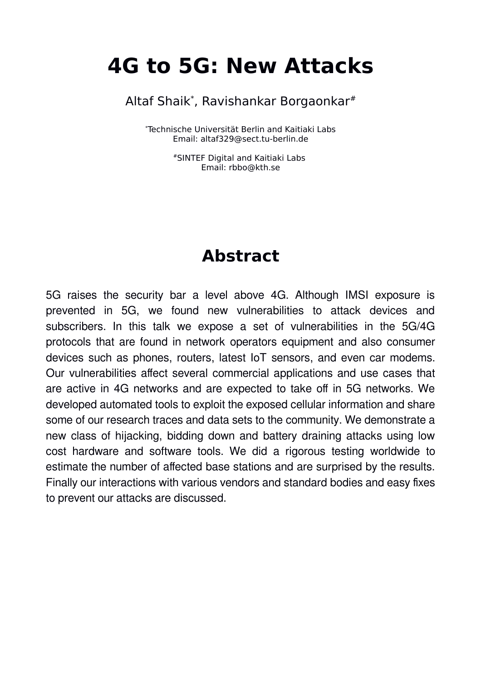# **4G to 5G: New Attacks**

Altaf Shaik\* , Ravishankar Borgaonkar#

\*Technische Universität Berlin and Kaitiaki Labs Email: altaf329@sect.tu-berlin.de

> #SINTEF Digital and Kaitiaki Labs Email: rbbo@kth.se

### **Abstract**

5G raises the security bar a level above 4G. Although IMSI exposure is prevented in 5G, we found new vulnerabilities to attack devices and subscribers. In this talk we expose a set of vulnerabilities in the 5G/4G protocols that are found in network operators equipment and also consumer devices such as phones, routers, latest IoT sensors, and even car modems. Our vulnerabilities affect several commercial applications and use cases that are active in 4G networks and are expected to take off in 5G networks. We developed automated tools to exploit the exposed cellular information and share some of our research traces and data sets to the community. We demonstrate a new class of hijacking, bidding down and battery draining attacks using low cost hardware and software tools. We did a rigorous testing worldwide to estimate the number of affected base stations and are surprised by the results. Finally our interactions with various vendors and standard bodies and easy fixes to prevent our attacks are discussed.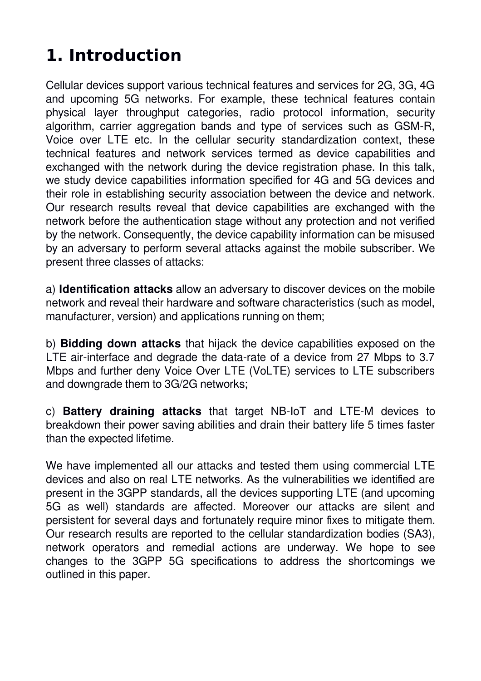# **1. Introduction**

Cellular devices support various technical features and services for 2G, 3G, 4G and upcoming 5G networks. For example, these technical features contain physical layer throughput categories, radio protocol information, security algorithm, carrier aggregation bands and type of services such as GSM-R, Voice over LTE etc. In the cellular security standardization context, these technical features and network services termed as device capabilities and exchanged with the network during the device registration phase. In this talk, we study device capabilities information specified for 4G and 5G devices and their role in establishing security association between the device and network. Our research results reveal that device capabilities are exchanged with the network before the authentication stage without any protection and not verified by the network. Consequently, the device capability information can be misused by an adversary to perform several attacks against the mobile subscriber. We present three classes of attacks:

a) **Identification attacks** allow an adversary to discover devices on the mobile network and reveal their hardware and software characteristics (such as model, manufacturer, version) and applications running on them;

b) **Bidding down attacks** that hijack the device capabilities exposed on the LTE air-interface and degrade the data-rate of a device from 27 Mbps to 3.7 Mbps and further deny Voice Over LTE (VoLTE) services to LTE subscribers and downgrade them to 3G/2G networks;

c) **Battery draining attacks** that target NB-IoT and LTE-M devices to breakdown their power saving abilities and drain their battery life 5 times faster than the expected lifetime.

We have implemented all our attacks and tested them using commercial LTE devices and also on real LTE networks. As the vulnerabilities we identified are present in the 3GPP standards, all the devices supporting LTE (and upcoming 5G as well) standards are affected. Moreover our attacks are silent and persistent for several days and fortunately require minor fixes to mitigate them. Our research results are reported to the cellular standardization bodies (SA3), network operators and remedial actions are underway. We hope to see changes to the 3GPP 5G specifications to address the shortcomings we outlined in this paper.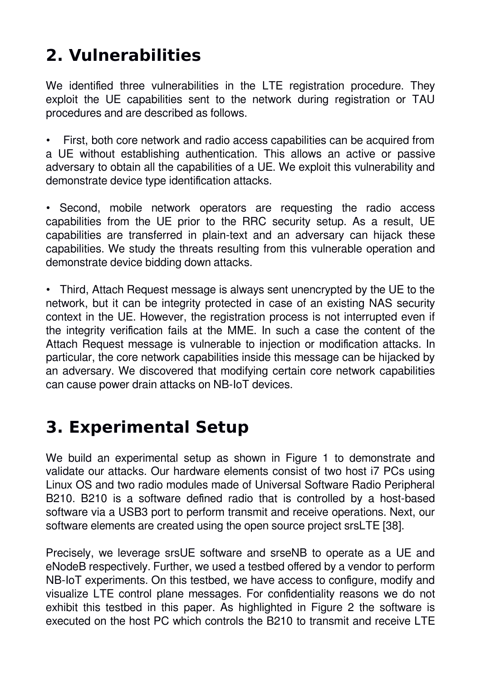# **2. Vulnerabilities**

We identified three vulnerabilities in the LTE registration procedure. They exploit the UE capabilities sent to the network during registration or TAU procedures and are described as follows.

• First, both core network and radio access capabilities can be acquired from a UE without establishing authentication. This allows an active or passive adversary to obtain all the capabilities of a UE. We exploit this vulnerability and demonstrate device type identification attacks.

• Second, mobile network operators are requesting the radio access capabilities from the UE prior to the RRC security setup. As a result, UE capabilities are transferred in plain-text and an adversary can hijack these capabilities. We study the threats resulting from this vulnerable operation and demonstrate device bidding down attacks.

• Third, Attach Request message is always sent unencrypted by the UE to the network, but it can be integrity protected in case of an existing NAS security context in the UE. However, the registration process is not interrupted even if the integrity verification fails at the MME. In such a case the content of the Attach Request message is vulnerable to injection or modification attacks. In particular, the core network capabilities inside this message can be hijacked by an adversary. We discovered that modifying certain core network capabilities can cause power drain attacks on NB-IoT devices.

### **3. Experimental Setup**

We build an experimental setup as shown in Figure 1 to demonstrate and validate our attacks. Our hardware elements consist of two host i7 PCs using Linux OS and two radio modules made of Universal Software Radio Peripheral B210. B210 is a software defined radio that is controlled by a host-based software via a USB3 port to perform transmit and receive operations. Next, our software elements are created using the open source project srsLTE [38].

Precisely, we leverage srsUE software and srseNB to operate as a UE and eNodeB respectively. Further, we used a testbed offered by a vendor to perform NB-IoT experiments. On this testbed, we have access to configure, modify and visualize LTE control plane messages. For confidentiality reasons we do not exhibit this testbed in this paper. As highlighted in Figure 2 the software is executed on the host PC which controls the B210 to transmit and receive LTE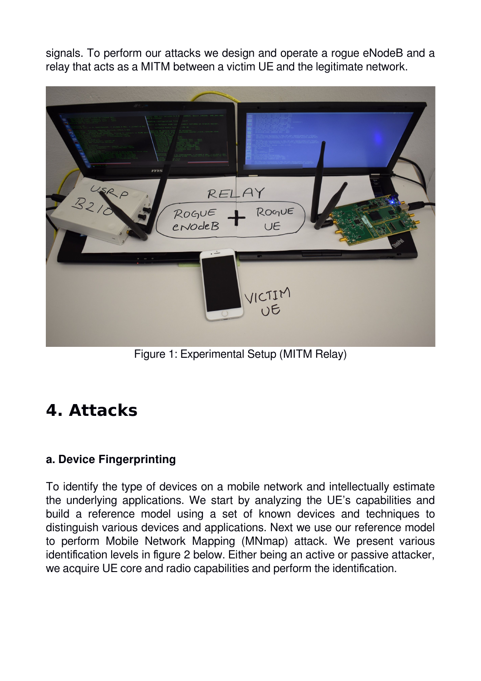signals. To perform our attacks we design and operate a rogue eNodeB and a relay that acts as a MITM between a victim UE and the legitimate network.



Figure 1: Experimental Setup (MITM Relay)

### **4. Attacks**

#### **a. Device Fingerprinting**

To identify the type of devices on a mobile network and intellectually estimate the underlying applications. We start by analyzing the UE's capabilities and build a reference model using a set of known devices and techniques to distinguish various devices and applications. Next we use our reference model to perform Mobile Network Mapping (MNmap) attack. We present various identification levels in figure 2 below. Either being an active or passive attacker, we acquire UE core and radio capabilities and perform the identification.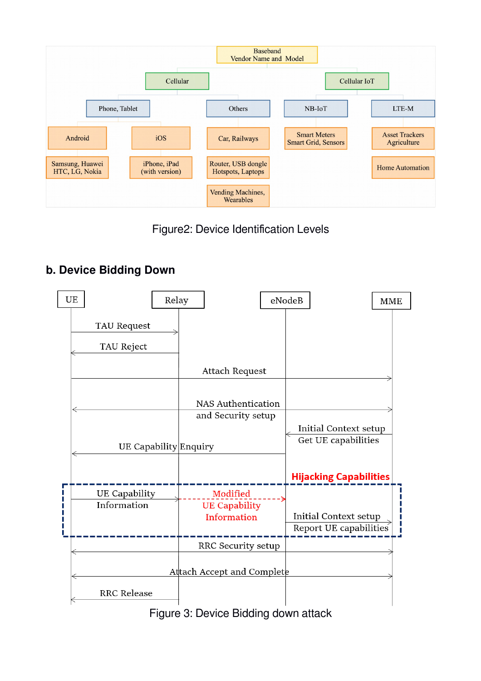

#### Figure2: Device Identification Levels

#### **b. Device Bidding Down**



Figure 3: Device Bidding down attack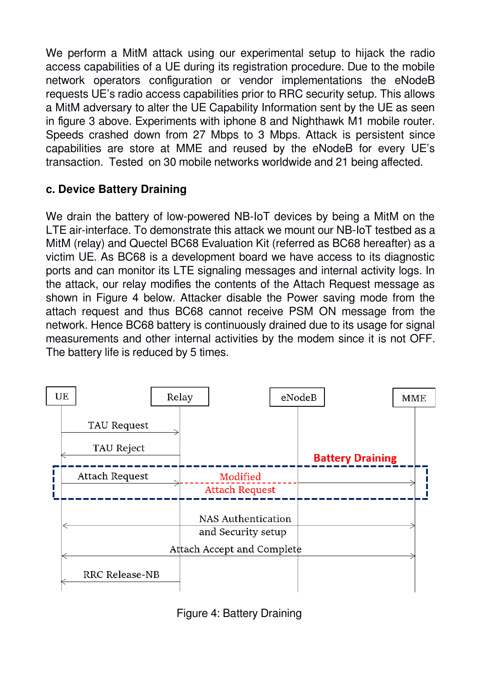We perform a MitM attack using our experimental setup to hijack the radio access capabilities of a UE during its registration procedure. Due to the mobile network operators configuration or vendor implementations the eNodeB requests UE's radio access capabilities prior to RRC security setup. This allows a MitM adversary to alter the UE Capability Information sent by the UE as seen in figure 3 above. Experiments with iphone 8 and Nighthawk M1 mobile router. Speeds crashed down from 27 Mbps to 3 Mbps. Attack is persistent since capabilities are store at MME and reused by the eNodeB for every UE's transaction. Tested on 30 mobile networks worldwide and 21 being affected.

#### **c. Device Battery Draining**

We drain the battery of low-powered NB-IoT devices by being a MitM on the LTE air-interface. To demonstrate this attack we mount our NB-IoT testbed as a MitM (relay) and Quectel BC68 Evaluation Kit (referred as BC68 hereafter) as a victim UE. As BC68 is a development board we have access to its diagnostic ports and can monitor its LTE signaling messages and internal activity logs. In the attack, our relay modifies the contents of the Attach Request message as shown in Figure 4 below. Attacker disable the Power saving mode from the attach request and thus BC68 cannot receive PSM ON message from the network. Hence BC68 battery is continuously drained due to its usage for signal measurements and other internal activities by the modem since it is not OFF. The battery life is reduced by 5 times.



Figure 4: Battery Draining